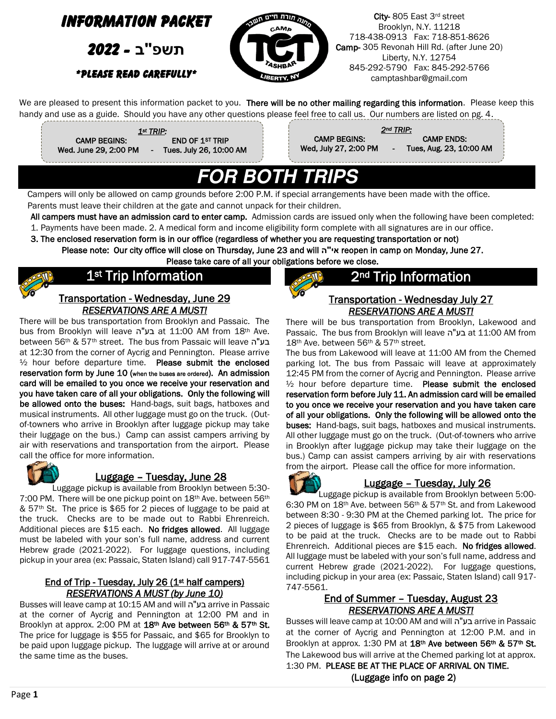

Campers will only be allowed on camp grounds before 2:00 P.M. if special arrangements have been made with the office. Parents must leave their children at the gate and cannot unpack for their children.

All campers must have an admission card to enter camp. Admission cards are issued only when the following have been completed: 1. Payments have been made. 2. A medical form and income eligibility form complete with all signatures are in our office.

3. The enclosed reservation form is in our office (regardless of whether you are requesting transportation or not) Please note: Our city office will close on Thursday, June 23 and will **ה"אי** reopen in camp on Monday, June 27.

Please take care of all your obligations before we close.



# 1<sup>st</sup> Trip Information

Transportation - Wednesday, June 29 *RESERVATIONS ARE A MUST!* 

There will be bus transportation from Brooklyn and Passaic. The bus from Brooklyn will leave ה"בע at 11:00 AM from 18th Ave. between 56<sup>th</sup> & 57<sup>th</sup> street. The bus from Passaic will leave בע"ה at 12:30 from the corner of Aycrig and Pennington. Please arrive  $\frac{1}{2}$  hour before departure time. Please submit the enclosed reservation form by June 10 (when the buses are ordered). An admission card will be emailed to you once we receive your reservation and you have taken care of all your obligations. Only the following will be allowed onto the buses: Hand-bags, suit bags, hatboxes and musical instruments. All other luggage must go on the truck. (Outof-towners who arrive in Brooklyn after luggage pickup may take their luggage on the bus.) Camp can assist campers arriving by air with reservations and transportation from the airport. Please call the office for more information.



## Luggage – Tuesday, June 28

 Luggage pickup is available from Brooklyn between 5:30- 7:00 PM. There will be one pickup point on 18<sup>th</sup> Ave. between 56<sup>th</sup> & 57th St. The price is \$65 for 2 pieces of luggage to be paid at the truck. Checks are to be made out to Rabbi Ehrenreich. Additional pieces are \$15 each. No fridges allowed. All luggage must be labeled with your son's full name, address and current Hebrew grade (2021-2022). For luggage questions, including pickup in your area (ex: Passaic, Staten Island) call 917-747-5561

#### End of Trip - Tuesday, July 26 (1<sup>st</sup> half campers) *RESERVATIONS A MUST (by June 10)*

Busses will leave camp at 10:15 AM and will בע"ה arrive in Passaic at the corner of Aycrig and Pennington at 12:00 PM and in Brooklyn at approx. 2:00 PM at 18th Ave between 56th & 57th St. The price for luggage is \$55 for Passaic, and \$65 for Brooklyn to be paid upon luggage pickup. The luggage will arrive at or around the same time as the buses.

# 2<sup>nd</sup> Trip Information

# Transportation - Wednesday July 27 *RESERVATIONS ARE A MUST!*

There will be bus transportation from Brooklyn, Lakewood and Passaic. The bus from Brooklyn will leave ה"בע at 11:00 AM from 18<sup>th</sup> Ave. between 56<sup>th</sup> & 57<sup>th</sup> street.

The bus from Lakewood will leave at 11:00 AM from the Chemed parking lot. The bus from Passaic will leave at approximately 12:45 PM from the corner of Aycrig and Pennington. Please arrive ½ hour before departure time. Please submit the enclosed reservation form before July 11. An admission card will be emailed to you once we receive your reservation and you have taken care of all your obligations. Only the following will be allowed onto the buses: Hand-bags, suit bags, hatboxes and musical instruments. All other luggage must go on the truck. (Out-of-towners who arrive in Brooklyn after luggage pickup may take their luggage on the bus.) Camp can assist campers arriving by air with reservations from the airport. Please call the office for more information.



## Luggage – Tuesday, July 26

 Luggage pickup is available from Brooklyn between 5:00- 6:30 PM on 18th Ave. between 56th & 57th St. and from Lakewood between 8:30 - 9:30 PM at the Chemed parking lot. The price for 2 pieces of luggage is \$65 from Brooklyn, & \$75 from Lakewood to be paid at the truck. Checks are to be made out to Rabbi Ehrenreich. Additional pieces are \$15 each. No fridges allowed. All luggage must be labeled with your son's full name, address and current Hebrew grade (2021-2022). For luggage questions, including pickup in your area (ex: Passaic, Staten Island) call 917- 747-5561.

#### End of Summer – Tuesday, August 23 *RESERVATIONS ARE A MUST!*

Busses will leave camp at 10:00 AM and will ה"בע arrive in Passaic at the corner of Aycrig and Pennington at 12:00 P.M. and in Brooklyn at approx. 1:30 PM at 18<sup>th</sup> Ave between 56<sup>th</sup> & 57<sup>th</sup> St. The Lakewood bus will arrive at the Chemed parking lot at approx. 1:30 PM. PLEASE BE AT THE PLACE OF ARRIVAL ON TIME. (Luggage info on page 2)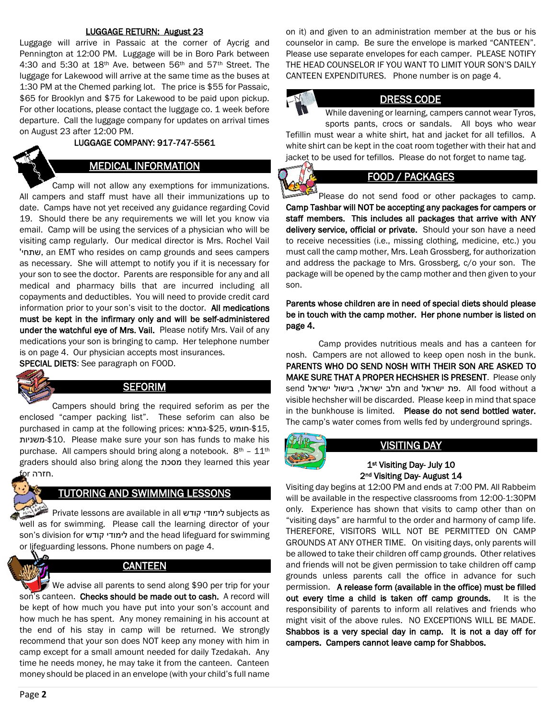#### LUGGAGE RETURN: August 23

Luggage will arrive in Passaic at the corner of Aycrig and Pennington at 12:00 PM. Luggage will be in Boro Park between 4:30 and 5:30 at 18th Ave. between 56th and 57th Street. The luggage for Lakewood will arrive at the same time as the buses at 1:30 PM at the Chemed parking lot. The price is \$55 for Passaic, \$65 for Brooklyn and \$75 for Lakewood to be paid upon pickup. For other locations, please contact the luggage co. 1 week before departure. Call the luggage company for updates on arrival times on August 23 after 12:00 PM.

#### LUGGAGE COMPANY: 917-747-5561

#### MEDICAL INFORMATION

 Camp will not allow any exemptions for immunizations. All campers and staff must have all their immunizations up to date. Camps have not yet received any guidance regarding Covid 19. Should there be any requirements we will let you know via email. Camp will be using the services of a physician who will be visiting camp regularly. Our medical director is Mrs. Rochel Vail 'שתחי, an EMT who resides on camp grounds and sees campers as necessary. She will attempt to notify you if it is necessary for your son to see the doctor. Parents are responsible for any and all medical and pharmacy bills that are incurred including all copayments and deductibles. You will need to provide credit card information prior to your son's visit to the doctor. All medications must be kept in the infirmary only and will be self-administered under the watchful eye of Mrs. Vail. Please notify Mrs. Vail of any medications your son is bringing to camp. Her telephone number is on page 4. Our physician accepts most insurances. SPECIAL DIETS: See paragraph on FOOD.

ś

#### **SEFORIM**

 Campers should bring the required seforim as per the enclosed "camper packing list". These seforim can also be purchased in camp at the following prices: גמרא-\$25, חומש-\$15, משניות-\$10. Please make sure your son has funds to make his purchase. All campers should bring along a notebook.  $8<sup>th</sup> - 11<sup>th</sup>$ graders should also bring along the מסכת they learned this year .חזרה for

#### TUTORING AND SWIMMING LESSONS

 Private lessons are available in all קודש לימודי subjects as well as for swimming. Please call the learning director of your son's division for קודש לימודי and the head lifeguard for swimming or lifeguarding lessons. Phone numbers on page 4.

# **CANTEEN**

 We advise all parents to send along \$90 per trip for your son's canteen. Checks should be made out to cash. A record will be kept of how much you have put into your son's account and how much he has spent. Any money remaining in his account at the end of his stay in camp will be returned. We strongly recommend that your son does NOT keep any money with him in camp except for a small amount needed for daily Tzedakah. Any time he needs money, he may take it from the canteen. Canteen money should be placed in an envelope (with your child's full name

on it) and given to an administration member at the bus or his counselor in camp. Be sure the envelope is marked "CANTEEN". Please use separate envelopes for each camper. PLEASE NOTIFY THE HEAD COUNSELOR IF YOU WANT TO LIMIT YOUR SON'S DAILY CANTEEN EXPENDITURES. Phone number is on page 4.

#### DRESS CODE

While davening or learning, campers cannot wear Tyros, sports pants, crocs or sandals. All boys who wear Tefillin must wear a white shirt, hat and jacket for all tefillos. A white shirt can be kept in the coat room together with their hat and jacket to be used for tefillos. Please do not forget to name tag.

### FOOD / PACKAGES

 Please do not send food or other packages to camp. Camp Tashbar will NOT be accepting any packages for campers or staff members. This includes all packages that arrive with ANY delivery service, official or private. Should your son have a need to receive necessities (i.e., missing clothing, medicine, etc.) you must call the camp mother, Mrs. Leah Grossberg, for authorization and address the package to Mrs. Grossberg, c/o your son. The package will be opened by the camp mother and then given to your son.

Parents whose children are in need of special diets should please be in touch with the camp mother. Her phone number is listed on page 4.

 Camp provides nutritious meals and has a canteen for nosh. Campers are not allowed to keep open nosh in the bunk. PARENTS WHO DO SEND NOSH WITH THEIR SON ARE ASKED TO MAKE SURE THAT A PROPER HECHSHER IS PRESENT. Please only send ישראל and חלב ישראל, בישול ישראל send send . visible hechsher will be discarded. Please keep in mind that space in the bunkhouse is limited. Please do not send bottled water. The camp's water comes from wells fed by underground springs.



## VISITING DAY

#### 1st Visiting Day- July 10 2nd Visiting Day- August 14

Visiting day begins at 12:00 PM and ends at 7:00 PM. All Rabbeim will be available in the respective classrooms from 12:00-1:30PM only. Experience has shown that visits to camp other than on "visiting days" are harmful to the order and harmony of camp life. THEREFORE, VISITORS WILL NOT BE PERMITTED ON CAMP GROUNDS AT ANY OTHER TIME. On visiting days, only parents will be allowed to take their children off camp grounds. Other relatives and friends will not be given permission to take children off camp grounds unless parents call the office in advance for such permission. A release form (available in the office) must be filled out every time a child is taken off camp grounds. It is the responsibility of parents to inform all relatives and friends who might visit of the above rules. NO EXCEPTIONS WILL BE MADE. Shabbos is a very special day in camp. It is not a day off for campers. Campers cannot leave camp for Shabbos.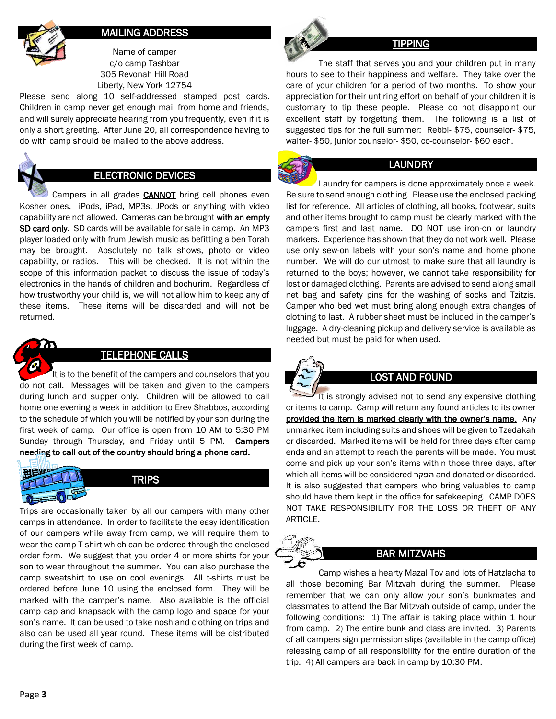

### MAILING ADDRESS

Name of camper c/o camp Tashbar 305 Revonah Hill Road Liberty, New York 12754

Please send along 10 self-addressed stamped post cards. Children in camp never get enough mail from home and friends, and will surely appreciate hearing from you frequently, even if it is only a short greeting. After June 20, all correspondence having to do with camp should be mailed to the above address.



# ELECTRONIC DEVICES

Campers in all grades **CANNOT** bring cell phones even Kosher ones. iPods, iPad, MP3s, JPods or anything with video capability are not allowed. Cameras can be brought with an empty SD card only. SD cards will be available for sale in camp. An MP3 player loaded only with frum Jewish music as befitting a ben Torah may be brought. Absolutely no talk shows, photo or video capability, or radios. This will be checked. It is not within the scope of this information packet to discuss the issue of today's electronics in the hands of children and bochurim. Regardless of how trustworthy your child is, we will not allow him to keep any of these items. These items will be discarded and will not be returned.



# TELEPHONE CALLS

It is to the benefit of the campers and counselors that you do not call. Messages will be taken and given to the campers during lunch and supper only. Children will be allowed to call home one evening a week in addition to Erev Shabbos, according to the schedule of which you will be notified by your son during the first week of camp. Our office is open from 10 AM to 5:30 PM Sunday through Thursday, and Friday until 5 PM. Campers needing to call out of the country should bring a phone card.



Trips are occasionally taken by all our campers with many other camps in attendance. In order to facilitate the easy identification of our campers while away from camp, we will require them to wear the camp T-shirt which can be ordered through the enclosed order form. We suggest that you order 4 or more shirts for your son to wear throughout the summer. You can also purchase the camp sweatshirt to use on cool evenings. All t-shirts must be ordered before June 10 using the enclosed form. They will be marked with the camper's name. Also available is the official camp cap and knapsack with the camp logo and space for your son's name. It can be used to take nosh and clothing on trips and also can be used all year round. These items will be distributed during the first week of camp.



# **TIPPING**

 The staff that serves you and your children put in many hours to see to their happiness and welfare. They take over the care of your children for a period of two months. To show your appreciation for their untiring effort on behalf of your children it is customary to tip these people. Please do not disappoint our excellent staff by forgetting them. The following is a list of suggested tips for the full summer: Rebbi- \$75, counselor- \$75, waiter- \$50, junior counselor- \$50, co-counselor- \$60 each.

# LAUNDRY

 Laundry for campers is done approximately once a week. Be sure to send enough clothing. Please use the enclosed packing list for reference. All articles of clothing, all books, footwear, suits and other items brought to camp must be clearly marked with the campers first and last name. DO NOT use iron-on or laundry markers. Experience has shown that they do not work well. Please use only sew-on labels with your son's name and home phone number. We will do our utmost to make sure that all laundry is returned to the boys; however, we cannot take responsibility for lost or damaged clothing. Parents are advised to send along small net bag and safety pins for the washing of socks and Tzitzis. Camper who bed wet must bring along enough extra changes of clothing to last. A rubber sheet must be included in the camper's luggage. A dry-cleaning pickup and delivery service is available as needed but must be paid for when used.



# LOST AND FOUND

 It is strongly advised not to send any expensive clothing or items to camp. Camp will return any found articles to its owner provided the item is marked clearly with the owner's name. Any unmarked item including suits and shoes will be given to Tzedakah or discarded. Marked items will be held for three days after camp ends and an attempt to reach the parents will be made. You must come and pick up your son's items within those three days, after which all items will be considered הפקר and donated or discarded. It is also suggested that campers who bring valuables to camp should have them kept in the office for safekeeping. CAMP DOES NOT TAKE RESPONSIBILITY FOR THE LOSS OR THEFT OF ANY ARTICLE.

# BAR MITZVAHS

 Camp wishes a hearty Mazal Tov and lots of Hatzlacha to all those becoming Bar Mitzvah during the summer. Please remember that we can only allow your son's bunkmates and classmates to attend the Bar Mitzvah outside of camp, under the following conditions: 1) The affair is taking place within 1 hour from camp. 2) The entire bunk and class are invited. 3) Parents of all campers sign permission slips (available in the camp office) releasing camp of all responsibility for the entire duration of the trip. 4) All campers are back in camp by 10:30 PM.